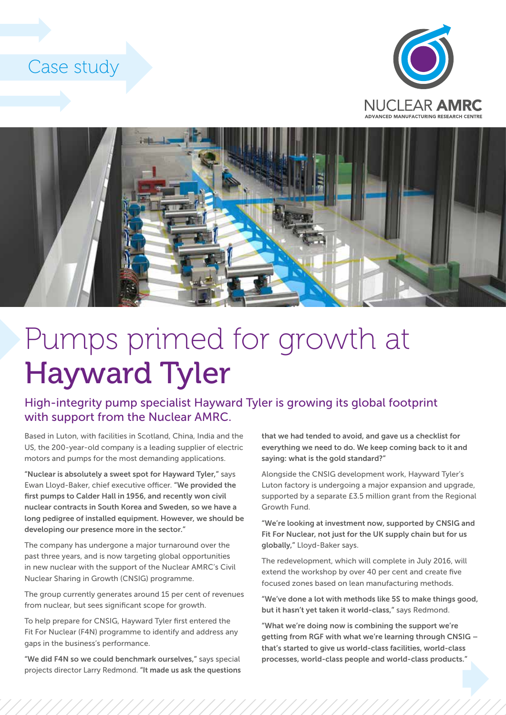## Case study





## Pumps primed for growth at Hayward Tyler

## High-integrity pump specialist Hayward Tyler is growing its global footprint with support from the Nuclear AMRC.

Based in Luton, with facilities in Scotland, China, India and the US, the 200-year-old company is a leading supplier of electric motors and pumps for the most demanding applications.

"Nuclear is absolutely a sweet spot for Hayward Tyler," says Ewan Lloyd-Baker, chief executive officer. "We provided the first pumps to Calder Hall in 1956, and recently won civil nuclear contracts in South Korea and Sweden, so we have a long pedigree of installed equipment. However, we should be developing our presence more in the sector."

The company has undergone a major turnaround over the past three years, and is now targeting global opportunities in new nuclear with the support of the Nuclear AMRC's Civil Nuclear Sharing in Growth (CNSIG) programme.

The group currently generates around 15 per cent of revenues from nuclear, but sees significant scope for growth.

To help prepare for CNSIG, Hayward Tyler first entered the Fit For Nuclear (F4N) programme to identify and address any gaps in the business's performance.

"We did F4N so we could benchmark ourselves," says special projects director Larry Redmond. "It made us ask the questions that we had tended to avoid, and gave us a checklist for everything we need to do. We keep coming back to it and saying: what is the gold standard?"

Alongside the CNSIG development work, Hayward Tyler's Luton factory is undergoing a major expansion and upgrade, supported by a separate £3.5 million grant from the Regional Growth Fund.

"We're looking at investment now, supported by CNSIG and Fit For Nuclear, not just for the UK supply chain but for us globally," Lloyd-Baker says.

The redevelopment, which will complete in July 2016, will extend the workshop by over 40 per cent and create five focused zones based on lean manufacturing methods.

"We've done a lot with methods like 5S to make things good, but it hasn't yet taken it world-class," says Redmond.

"What we're doing now is combining the support we're getting from RGF with what we're learning through CNSIG – that's started to give us world-class facilities, world-class processes, world-class people and world-class products."